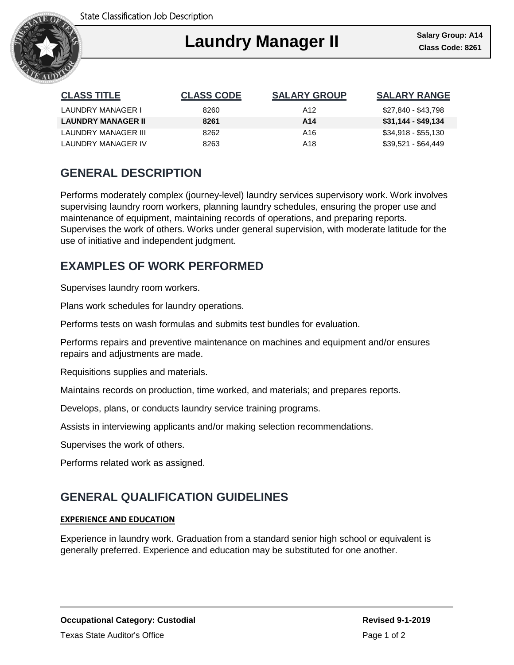

#### Ι **Laundry Manager II**

| <b>CLASS TITLE</b>        | <b>CLASS CODE</b> | <b>SALARY GROUP</b> | <b>SALARY RANGE</b> |
|---------------------------|-------------------|---------------------|---------------------|
| LAUNDRY MANAGER I         | 8260              | A12                 | \$27,840 - \$43,798 |
| <b>LAUNDRY MANAGER II</b> | 8261              | A <sub>14</sub>     | \$31,144 - \$49,134 |
| LAUNDRY MANAGER III       | 8262              | A16                 | \$34,918 - \$55,130 |
| LAUNDRY MANAGER IV        | 8263              | A18                 | \$39,521 - \$64,449 |

# **GENERAL DESCRIPTION**

Performs moderately complex (journey-level) laundry services supervisory work. Work involves supervising laundry room workers, planning laundry schedules, ensuring the proper use and maintenance of equipment, maintaining records of operations, and preparing reports. Supervises the work of others. Works under general supervision, with moderate latitude for the use of initiative and independent judgment.

## **EXAMPLES OF WORK PERFORMED**

Supervises laundry room workers.

Plans work schedules for laundry operations.

Performs tests on wash formulas and submits test bundles for evaluation.

Performs repairs and preventive maintenance on machines and equipment and/or ensures repairs and adjustments are made.

Requisitions supplies and materials.

Maintains records on production, time worked, and materials; and prepares reports.

Develops, plans, or conducts laundry service training programs.

Assists in interviewing applicants and/or making selection recommendations.

Supervises the work of others.

Performs related work as assigned.

## **GENERAL QUALIFICATION GUIDELINES**

#### **EXPERIENCE AND EDUCATION**

Experience in laundry work. Graduation from a standard senior high school or equivalent is generally preferred. Experience and education may be substituted for one another.